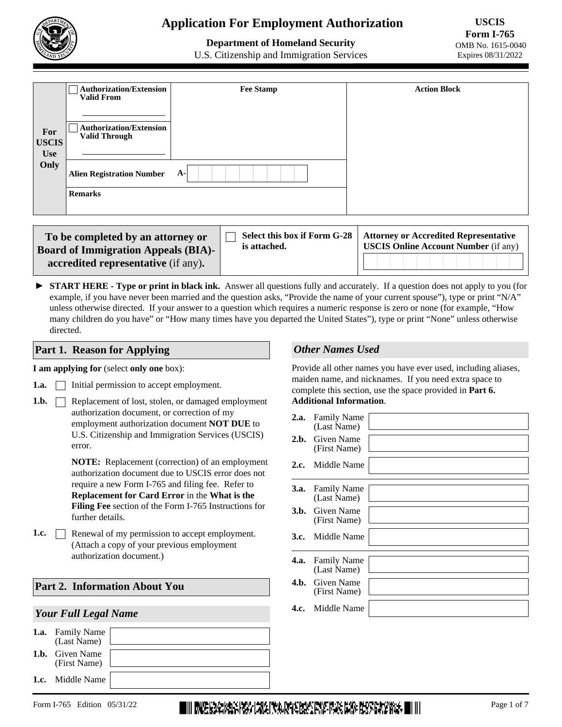

# **Application For Employment Authorization**

# **Department of Homeland Security**

**USCIS Form I-765**  OMB No. 1615-0040 Expires 08/31/2022

U.S. Citizenship and Immigration Services

|                                   | <b>Authorization/Extension</b><br><b>Valid From</b>    | <b>Fee Stamp</b> | <b>Action Block</b> |
|-----------------------------------|--------------------------------------------------------|------------------|---------------------|
| For<br><b>USCIS</b><br><b>Use</b> | <b>Authorization/Extension</b><br><b>Valid Through</b> |                  |                     |
| Only                              | <b>Alien Registration Number</b>                       | $A-$             |                     |
|                                   | <b>Remarks</b>                                         |                  |                     |

| To be completed by an attorney or<br><b>Board of Immigration Appeals (BIA)-</b> | is attached. | Select this box if Form G-28   Attorney or Accredited Representative<br><b>USCIS Online Account Number</b> (if any) |  |  |  |  |  |
|---------------------------------------------------------------------------------|--------------|---------------------------------------------------------------------------------------------------------------------|--|--|--|--|--|
| accredited representative (if any).                                             |              |                                                                                                                     |  |  |  |  |  |

► START HERE - Type or print in black ink. Answer all questions fully and accurately. If a question does not apply to you (for example, if you have never been married and the question asks, "Provide the name of your current spouse"), type or print "N/A" unless otherwise directed. If your answer to a question which requires a numeric response is zero or none (for example, "How many children do you have" or "How many times have you departed the United States"), type or print "None" unless otherwise directed.

#### **Part 1. Reason for Applying**

#### **I am applying for** (select **only one** box):

- $\Box$  Initial permission to accept employment. **1.a.**
- Replacement of lost, stolen, or damaged employment authorization document, or correction of my employment authorization document **NOT DUE** to U.S. Citizenship and Immigration Services (USCIS) error. **1.b.**

**NOTE:** Replacement (correction) of an employment authorization document due to USCIS error does not require a new Form I-765 and filing fee. Refer to **Replacement for Card Error** in the **What is the Filing Fee** section of the Form I-765 Instructions for further details.

**1.c. e** Renewal of my permission to accept employment. (Attach a copy of your previous employment authorization document.)

#### **Part 2. Information About You**

#### *Your Full Legal Name*

| <b>1.a.</b> Family Name<br>(Last Name) |  |
|----------------------------------------|--|
| <b>1.b.</b> Given Name<br>(First Name) |  |
| <b>1.c.</b> Middle Name                |  |

## *Other Names Used*

Provide all other names you have ever used, including aliases, maiden name, and nicknames. If you need extra space to complete this section, use the space provided in **Part 6. Additional Information**.

# **2.a.** Family Name (Last Name) **2.b.** Given Name (First Name) **2.c.** Middle Name **3.a.** Family Name **4.c.** Middle Name Given Name (First Name) **4.b.**  Family Name **4.a.** (Last Name) (Last Name) **3.b.** Given Name (First Name) **3.c.** Middle Name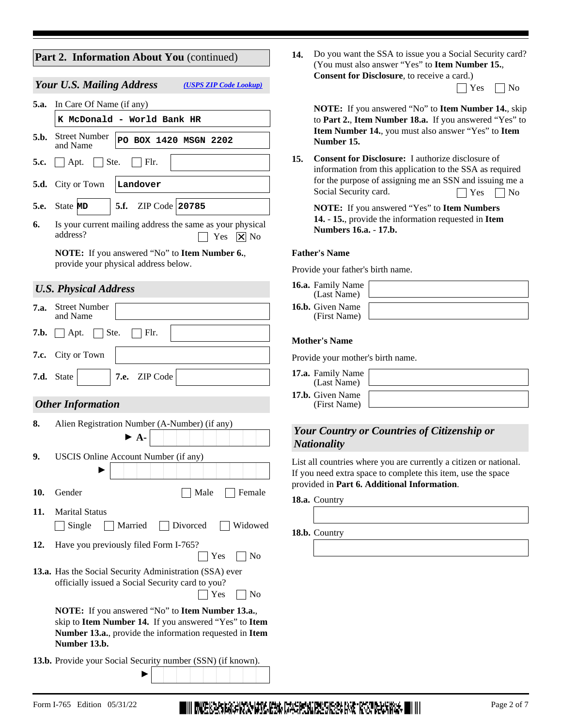## **Part 2. Information About You** (continued)

#### *Your U.S. Mailing Address [\(USPS ZIP Code Lookup\)](https://tools.usps.com/go/ZipLookupAction_input)*

 $\Box$  Yes  $\Box$  No Is your current mailing address the same as your physical address? **6. 5.d.** City or Town **5.e.** State **MD** | **5.f.** ZIP Code | **20785 5.c.**  $\Box$  Apt.  $\Box$  Ste.  $\Box$  Flr. **5.b.** Street Number **5.a.** In Care Of Name (if any) and Name **Landover MCDonald - World Bank HR**<br>
Street Number **PO BOX 1420 MSGN 2202**<br> **Apt.** Ste. Flr. Tity or Town **Landover**<br>
State **MD** 5.f. ZIP Code 20785

**NOTE:** If you answered "No" to **Item Number 6.**, provide your physical address below.

## *U.S. Physical Address*

| 7.a. | <b>Street Number</b><br>and Name                                                                                                                                                                    |  |  |  |  |  |
|------|-----------------------------------------------------------------------------------------------------------------------------------------------------------------------------------------------------|--|--|--|--|--|
| 7.b. | Ste.<br>Flr.<br>Apt.                                                                                                                                                                                |  |  |  |  |  |
| 7.c. | City or Town                                                                                                                                                                                        |  |  |  |  |  |
| 7.d. | 7.e. ZIP Code<br>State                                                                                                                                                                              |  |  |  |  |  |
|      | <b>Other Information</b>                                                                                                                                                                            |  |  |  |  |  |
| 8.   | Alien Registration Number (A-Number) (if any)<br>$\blacktriangleright$ A.                                                                                                                           |  |  |  |  |  |
| 9.   | USCIS Online Account Number (if any)                                                                                                                                                                |  |  |  |  |  |
| 10.  | Gender<br>Male<br>Female                                                                                                                                                                            |  |  |  |  |  |
| 11.  | <b>Marital Status</b><br>Single<br>Married<br>Divorced<br>Widowed                                                                                                                                   |  |  |  |  |  |
| 12.  | Have you previously filed Form I-765?<br>Yes<br>N <sub>0</sub>                                                                                                                                      |  |  |  |  |  |
|      | 13.a. Has the Social Security Administration (SSA) ever<br>officially issued a Social Security card to you?<br>Yes<br>N <sub>o</sub>                                                                |  |  |  |  |  |
|      | <b>NOTE:</b> If you answered "No" to <b>Item Number 13.a.</b> ,<br>skip to Item Number 14. If you answered "Yes" to Item<br>Number 13.a., provide the information requested in Item<br>Number 13.b. |  |  |  |  |  |
|      | <b>13.b.</b> Provide your Social Security number (SSN) (if known).                                                                                                                                  |  |  |  |  |  |

Do you want the SSA to issue you a Social Security card? **14.** (You must also answer "Yes" to **Item Number 15.**, **Consent for Disclosure**, to receive a card.)

 $\Box$  Yes  $\Box$  No

**NOTE:** If you answered "No" to **Item Number 14.**, skip to **Part 2.**, **Item Number 18.a.** If you answered "Yes" to **Item Number 14.**, you must also answer "Yes" to **Item Number 15.**

**Consent for Disclosure:** I authorize disclosure of information from this application to the SSA as required for the purpose of assigning me an SSN and issuing me a Social Security card. **15.**  $\Box$  Yes  $\Box$  No

**NOTE:** If you answered "Yes" to **Item Numbers 14.** - **15.**, provide the information requested in **Item Numbers 16.a.** - **17.b.**

#### **Father's Name**

Provide your father's birth name.

| <b>16.a.</b> Family Name<br>(Last Name) |  |
|-----------------------------------------|--|
| <b>16.b.</b> Given Name<br>(First Name) |  |

#### **Mother's Name**

Provide your mother's birth name.

| 17.a. Family Name<br>(Last Name)        |  |
|-----------------------------------------|--|
| <b>17.b.</b> Given Name<br>(First Name) |  |

## *Your Country or Countries of Citizenship or Nationality*

List all countries where you are currently a citizen or national. If you need extra space to complete this item, use the space provided in **Part 6. Additional Information**.

**18.a.** Country

**18.b.** Country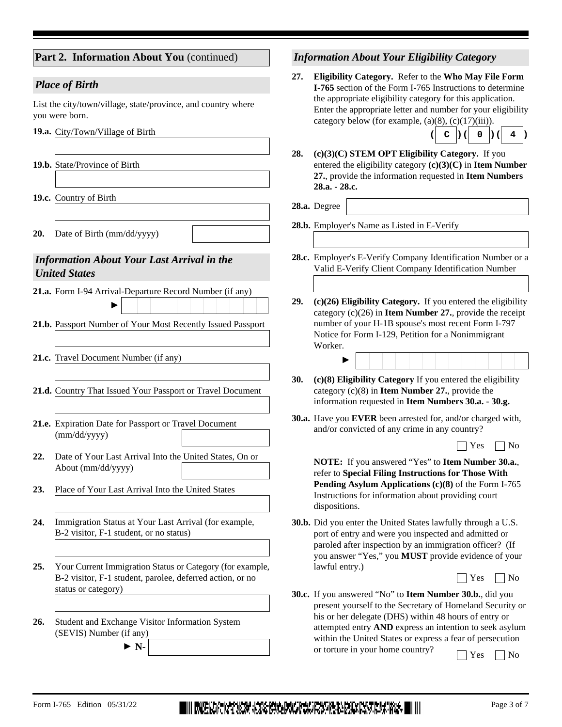| Part 2. Information About You (continued)                                                                                                            | <b>Information About Your Eligibility Category</b>                                                                                                                                                                                                                                                                       |
|------------------------------------------------------------------------------------------------------------------------------------------------------|--------------------------------------------------------------------------------------------------------------------------------------------------------------------------------------------------------------------------------------------------------------------------------------------------------------------------|
| <b>Place of Birth</b><br>List the city/town/village, state/province, and country where<br>you were born.<br>19.a. City/Town/Village of Birth         | Eligibility Category. Refer to the Who May File Form<br>27.<br>I-765 section of the Form I-765 Instructions to determine<br>the appropriate eligibility category for this application.<br>Enter the appropriate letter and number for your eligibility<br>category below (for example, $(a)(8)$ , $(c)(17)(iii)$ ).<br>4 |
| 19.b. State/Province of Birth                                                                                                                        | 28.<br>$(c)(3)(C)$ STEM OPT Eligibility Category. If you<br>entered the eligibility category $(c)(3)(C)$ in Item Number<br>27., provide the information requested in Item Numbers<br>28.a. - 28.c.                                                                                                                       |
| 19.c. Country of Birth<br>20.<br>Date of Birth (mm/dd/yyyy)                                                                                          | 28.a. Degree<br>28.b. Employer's Name as Listed in E-Verify                                                                                                                                                                                                                                                              |
| <b>Information About Your Last Arrival in the</b><br><b>United States</b>                                                                            | 28.c. Employer's E-Verify Company Identification Number or a<br>Valid E-Verify Client Company Identification Number                                                                                                                                                                                                      |
| 21.a. Form I-94 Arrival-Departure Record Number (if any)<br>21.b. Passport Number of Your Most Recently Issued Passport                              | (c)(26) Eligibility Category. If you entered the eligibility<br>29.<br>category $(c)(26)$ in <b>Item Number 27.</b> , provide the receipt<br>number of your H-1B spouse's most recent Form I-797<br>Notice for Form I-129, Petition for a Nonimmigrant<br>Worker.                                                        |
| 21.c. Travel Document Number (if any)                                                                                                                |                                                                                                                                                                                                                                                                                                                          |
| 21.d. Country That Issued Your Passport or Travel Document                                                                                           | 30.<br>(c)(8) Eligibility Category If you entered the eligibility<br>category $(c)(8)$ in <b>Item Number 27.</b> , provide the<br>information requested in Item Numbers 30.a. - 30.g.                                                                                                                                    |
| 21.e. Expiration Date for Passport or Travel Document<br>(mm/dd/yyyy)                                                                                | 30.a. Have you EVER been arrested for, and/or charged with,<br>and/or convicted of any crime in any country?                                                                                                                                                                                                             |
| Date of Your Last Arrival Into the United States, On or<br>22.<br>About (mm/dd/yyyy)<br>Place of Your Last Arrival Into the United States<br>23.     | Yes<br>N <sub>0</sub><br>NOTE: If you answered "Yes" to Item Number 30.a.<br>refer to Special Filing Instructions for Those With<br>Pending Asylum Applications (c)(8) of the Form I-765<br>Instructions for information about providing court<br>dispositions.                                                          |
| Immigration Status at Your Last Arrival (for example,<br>24.<br>B-2 visitor, F-1 student, or no status)                                              | 30.b. Did you enter the United States lawfully through a U.S.<br>port of entry and were you inspected and admitted or<br>paroled after inspection by an immigration officer? (If<br>you answer "Yes," you MUST provide evidence of your                                                                                  |
| Your Current Immigration Status or Category (for example,<br>25.<br>B-2 visitor, F-1 student, parolee, deferred action, or no<br>status or category) | lawful entry.)<br>Yes<br>No<br><b>30.c.</b> If you answered "No" to <b>Item Number 30.b.</b> , did you<br>present yourself to the Secretary of Homeland Security or<br>his or her delegate (DHS) within 48 hours of entry or                                                                                             |
| Student and Exchange Visitor Information System<br>26.<br>(SEVIS) Number (if any)<br>$\triangleright$ N-                                             | attempted entry AND express an intention to seek asylum<br>within the United States or express a fear of persecution<br>or torture in your home country?<br>Yes<br>No                                                                                                                                                    |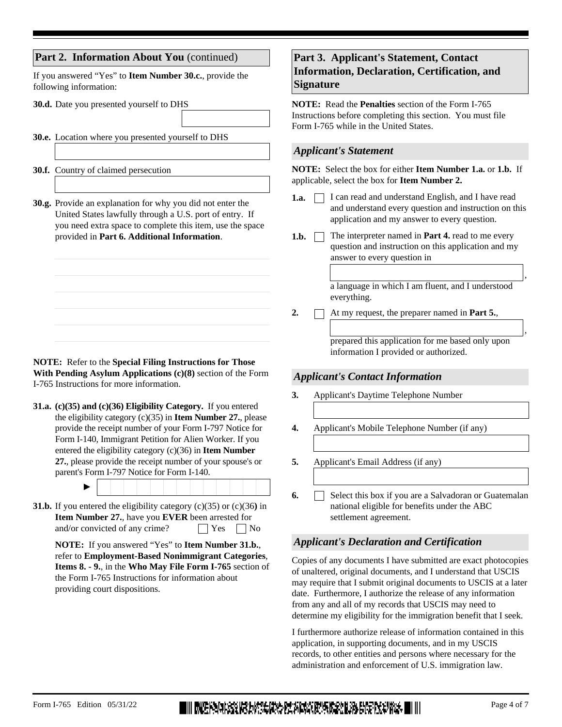## **Part 2. Information About You** (continued)

If you answered "Yes" to **Item Number 30.c.**, provide the following information:

**30.d.** Date you presented yourself to DHS

**30.e.** Location where you presented yourself to DHS

**30.f.** Country of claimed persecution

**30.g.** Provide an explanation for why you did not enter the United States lawfully through a U.S. port of entry. If you need extra space to complete this item, use the space provided in **Part 6. Additional Information**.

**NOTE:** Refer to the **Special Filing Instructions for Those With Pending Asylum Applications (c)(8)** section of the Form I-765 Instructions for more information.

**(c)(35) and (c)(36) Eligibility Category.** If you entered **31.a.** the eligibility category (c)(35) in **Item Number 27.**, please provide the receipt number of your Form I-797 Notice for Form I-140, Immigrant Petition for Alien Worker. If you entered the eligibility category (c)(36) in **Item Number 27.**, please provide the receipt number of your spouse's or parent's Form I-797 Notice for Form I-140.

►

**31.b.** If you entered the eligibility category (c)(35) or (c)(36) in **Item Number 27.**, have you **EVER** been arrested for and/or convicted of any crime?  $\Box$  Yes  $\Box$  No

**NOTE:** If you answered "Yes" to **Item Number 31.b.**, refer to **Employment-Based Nonimmigrant Categories**, **Items 8. - 9.**, in the **Who May File Form I-765** section of the Form I-765 Instructions for information about providing court dispositions.

## **Part 3. Applicant's Statement, Contact Information, Declaration, Certification, and Signature**

**NOTE:** Read the **Penalties** section of the Form I-765 Instructions before completing this section. You must file Form I-765 while in the United States.

## *Applicant's Statement*

**NOTE:** Select the box for either **Item Number 1.a.** or **1.b.** If applicable, select the box for **Item Number 2.**

- **1.a.**  $\Box$  I can read and understand English, and I have read and understand every question and instruction on this application and my answer to every question.
- The interpreter named in **Part 4.** read to me every question and instruction on this application and my answer to every question in 1.b.  $\Box$

a language in which I am fluent, and I understood everything.

2.  $\Box$  At my request, the preparer named in **Part 5.**,

prepared this application for me based only upon information I provided or authorized.

## *Applicant's Contact Information*

- **3.** Applicant's Daytime Telephone Number
- **4.** Applicant's Mobile Telephone Number (if any)
- **5.** Applicant's Email Address (if any)
- Select this box if you are a Salvadoran or Guatemalan national eligible for benefits under the ABC settlement agreement. **6.**

## *Applicant's Declaration and Certification*

Copies of any documents I have submitted are exact photocopies of unaltered, original documents, and I understand that USCIS may require that I submit original documents to USCIS at a later date. Furthermore, I authorize the release of any information from any and all of my records that USCIS may need to determine my eligibility for the immigration benefit that I seek.

I furthermore authorize release of information contained in this application, in supporting documents, and in my USCIS records, to other entities and persons where necessary for the administration and enforcement of U.S. immigration law.

,

,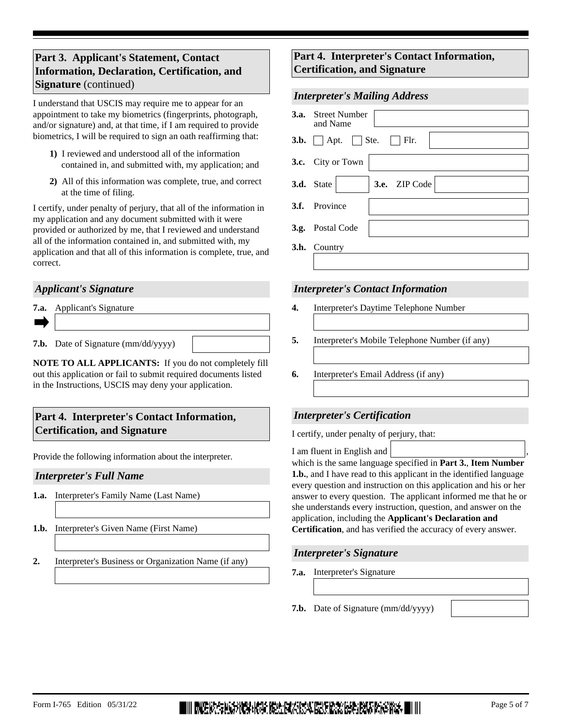# **Part 3. Applicant's Statement, Contact Information, Declaration, Certification, and Signature** (continued)

I understand that USCIS may require me to appear for an appointment to take my biometrics (fingerprints, photograph, and/or signature) and, at that time, if I am required to provide biometrics, I will be required to sign an oath reaffirming that:

- **1)** I reviewed and understood all of the information contained in, and submitted with, my application; and
- **2)** All of this information was complete, true, and correct at the time of filing.

I certify, under penalty of perjury, that all of the information in my application and any document submitted with it were provided or authorized by me, that I reviewed and understand all of the information contained in, and submitted with, my application and that all of this information is complete, true, and correct.

## *Applicant's Signature*

| <b>7.a.</b> Applicant's Signature          |  |
|--------------------------------------------|--|
|                                            |  |
| <b>7.b.</b> Date of Signature (mm/dd/yyyy) |  |

**NOTE TO ALL APPLICANTS:** If you do not completely fill out this application or fail to submit required documents listed in the Instructions, USCIS may deny your application.

## **Part 4. Interpreter's Contact Information, Certification, and Signature**

Provide the following information about the interpreter.

## *Interpreter's Full Name*

- **1.a.** Interpreter's Family Name (Last Name)
- **1.b.** Interpreter's Given Name (First Name)
- **2.** Interpreter's Business or Organization Name (if any)

## **Part 4. Interpreter's Contact Information, Certification, and Signature**

## *Interpreter's Mailing Address*

| <b>3.a.</b> Street Number<br>and Name           |
|-------------------------------------------------|
| <b>3.b.</b> $\Box$ Apt. $\Box$ Ste. $\Box$ Flr. |
| 3.c. City or Town                               |
| $\ \mathbf{v}\ $ 3.e. ZIP Code<br>3.d. State    |
| 3.f. Province                                   |
| 3.g. Postal Code                                |
| 3.h. Country                                    |
|                                                 |

## *Interpreter's Contact Information*

- **4.** Interpreter's Daytime Telephone Number
- **5.** Interpreter's Mobile Telephone Number (if any)
- **6.** Interpreter's Email Address (if any)

## *Interpreter's Certification*

I certify, under penalty of perjury, that:

I am fluent in English and

which is the same language specified in **Part 3.**, **Item Number 1.b.**, and I have read to this applicant in the identified language every question and instruction on this application and his or her answer to every question. The applicant informed me that he or she understands every instruction, question, and answer on the application, including the **Applicant's Declaration and Certification**, and has verified the accuracy of every answer.

## *Interpreter's Signature*

- **7.a.** Interpreter's Signature
- **7.b.** Date of Signature (mm/dd/yyyy)

,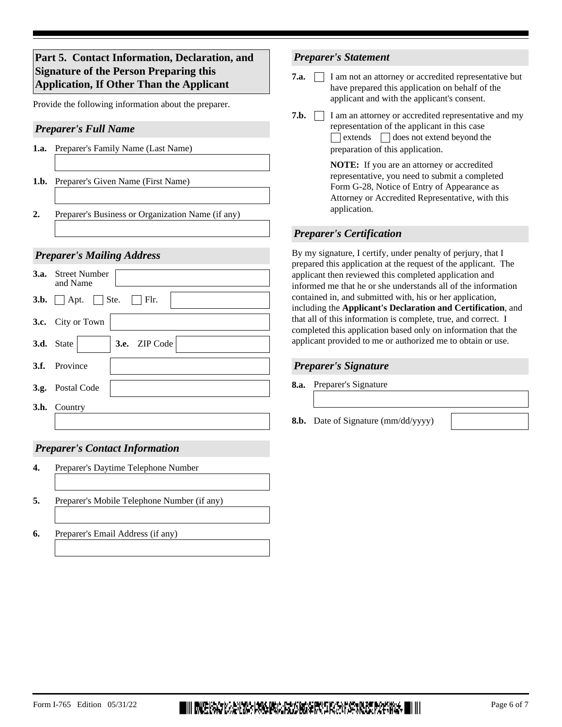# **Part 5. Contact Information, Declaration, and Signature of the Person Preparing this Application, If Other Than the Applicant**

Provide the following information about the preparer.

## *Preparer's Full Name*

- **1.a.** Preparer's Family Name (Last Name)
- **1.b.** Preparer's Given Name (First Name)
- **2.** Preparer's Business or Organization Name (if any)

#### *Preparer's Mailing Address*

| <b>3.a.</b> Street Number<br>and Name                    |
|----------------------------------------------------------|
| <b>3.b.</b> $\Box$ Apt. $\Box$ Ste. $\Box$ Flr.          |
| 3.c. City or Town                                        |
| $\blacktriangleright$ 3.e. ZIP Code<br><b>3.d.</b> State |
| 3.f. Province                                            |
| 3.g. Postal Code                                         |
| 3.h. Country                                             |
|                                                          |

## *Preparer's Contact Information*

- **4.** Preparer's Daytime Telephone Number
- **5.** Preparer's Mobile Telephone Number (if any)
- **6.** Preparer's Email Address (if any)

## *Preparer's Statement*

- **7.a. I** am not an attorney or accredited representative but have prepared this application on behalf of the applicant and with the applicant's consent.
- **7.b.**  $\Box$  I am an attorney or accredited representative and my representation of the applicant in this case  $\Box$  extends  $\Box$  does not extend beyond the preparation of this application.

**NOTE:** If you are an attorney or accredited representative, you need to submit a completed Form G-28, Notice of Entry of Appearance as Attorney or Accredited Representative, with this application.

## *Preparer's Certification*

By my signature, I certify, under penalty of perjury, that I prepared this application at the request of the applicant. The applicant then reviewed this completed application and informed me that he or she understands all of the information contained in, and submitted with, his or her application, including the **Applicant's Declaration and Certification**, and that all of this information is complete, true, and correct. I completed this application based only on information that the applicant provided to me or authorized me to obtain or use.

#### *Preparer's Signature*

- **8.a.** Preparer's Signature
- **8.b.** Date of Signature (mm/dd/yyyy)